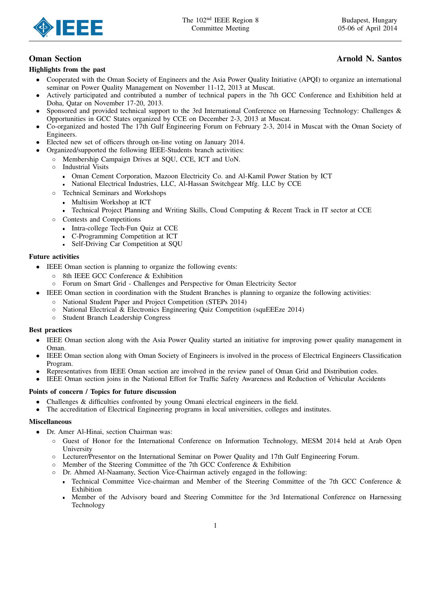

# Highlights from the past

# **Oman Section Arnold N. Santos Arnold N. Santos**

- Cooperated with the Oman Society of Engineers and the Asia Power Quality Initiative (APQI) to organize an international seminar on Power Quality Management on November 11-12, 2013 at Muscat.
- Actively participated and contributed a number of technical papers in the 7th GCC Conference and Exhibition held at Doha, Qatar on November 17-20, 2013.
- Sponsored and provided technical support to the 3rd International Conference on Harnessing Technology: Challenges & Opportunities in GCC States organized by CCE on December 2-3, 2013 at Muscat.
- Co-organized and hosted The 17th Gulf Engineering Forum on February 2-3, 2014 in Muscat with the Oman Society of Engineers.
- Elected new set of officers through on-line voting on January 2014.
- Organized/supported the following IEEE-Students branch activities:
	- Membership Campaign Drives at SQU, CCE, ICT and UoN.
	- Industrial Visits
		- Oman Cement Corporation, Mazoon Electricity Co. and Al-Kamil Power Station by ICT
		- National Electrical Industries, LLC, Al-Hassan Switchgear Mfg. LLC by CCE
	- Technical Seminars and Workshops
		- **Multisim Workshop at ICT**
		- Technical Project Planning and Writing Skills, Cloud Computing & Recent Track in IT sector at CCE
	- Contests and Competitions
		- Intra-college Tech-Fun Quiz at CCE
		- C-Programming Competition at ICT
		- Self-Driving Car Competition at SQU  $\blacksquare$

# Future activities

- IEEE Oman section is planning to organize the following events:
	- 8th IEEE GCC Conference & Exhibition
	- Forum on Smart Grid Challenges and Perspective for Oman Electricity Sector
- IEEE Oman section in coordination with the Student Branches is planning to organize the following activities:
	- National Student Paper and Project Competition (STEPs 2014)
	- National Electrical & Electronics Engineering Quiz Competition (squEEEze 2014)
	- Student Branch Leadership Congress

## Best practices

- IEEE Oman section along with the Asia Power Quality started an initiative for improving power quality management in Oman.
- IEEE Oman section along with Oman Society of Engineers is involved in the process of Electrical Engineers Classification Program.
- Representatives from IEEE Oman section are involved in the review panel of Oman Grid and Distribution codes.
- IEEE Oman section joins in the National Effort for Traffic Safety Awareness and Reduction of Vehicular Accidents

## Points of concern / Topics for future discussion

- Challenges & difficulties confronted by young Omani electrical engineers in the field.
- The accreditation of Electrical Engineering programs in local universities, colleges and institutes.

## Miscellaneous

- Dr. Amer Al-Hinai, section Chairman was:
	- Guest of Honor for the International Conference on Information Technology, MESM 2014 held at Arab Open University
	- Lecturer/Presentor on the International Seminar on Power Quality and 17th Gulf Engineering Forum.
	- Member of the Steering Committee of the 7th GCC Conference & Exhibition
	- Dr. Ahmed Al-Naamany, Section Vice-Chairman actively engaged in the following:
		- Technical Committee Vice-chairman and Member of the Steering Committee of the 7th GCC Conference & Exhibition
		- Member of the Advisory board and Steering Committee for the 3rd International Conference on Harnessing Technology